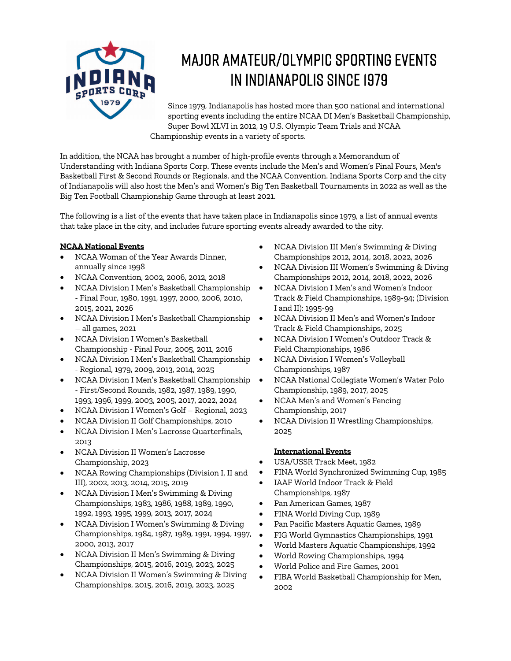

# Major Amateur/Olympic Sporting Events in Indianapolis since 1979

Since 1979, Indianapolis has hosted more than 500 national and international sporting events including the entire NCAA DI Men's Basketball Championship, Super Bowl XLVI in 2012, 19 U.S. Olympic Team Trials and NCAA Championship events in a variety of sports.

In addition, the NCAA has brought a number of high-profile events through a Memorandum of Understanding with Indiana Sports Corp. These events include the Men's and Women's Final Fours, Men's Basketball First & Second Rounds or Regionals, and the NCAA Convention. Indiana Sports Corp and the city of Indianapolis will also host the Men's and Women's Big Ten Basketball Tournaments in 2022 as well as the Big Ten Football Championship Game through at least 2021.

The following is a list of the events that have taken place in Indianapolis since 1979, a list of annual events that take place in the city, and includes future sporting events already awarded to the city.

# **NCAA National Events**

- NCAA Woman of the Year Awards Dinner, annually since 1998
- NCAA Convention, 2002, 2006, 2012, 2018
- NCAA Division I Men's Basketball Championship - Final Four, 1980, 1991, 1997, 2000, 2006, 2010, 2015, 2021, 2026
- NCAA Division I Men's Basketball Championship – all games, 2021
- NCAA Division I Women's Basketball Championship - Final Four, 2005, 2011, 2016
- NCAA Division I Men's Basketball Championship - Regional, 1979, 2009, 2013, 2014, 2025
- NCAA Division I Men's Basketball Championship - First/Second Rounds, 1982, 1987, 1989, 1990, 1993, 1996, 1999, 2003, 2005, 2017, 2022, 2024
- NCAA Division I Women's Golf Regional, 2023
- NCAA Division II Golf Championships, 2010
- NCAA Division I Men's Lacrosse Quarterfinals, 2013
- NCAA Division II Women's Lacrosse Championship, 2023
- NCAA Rowing Championships (Division I, II and III), 2002, 2013, 2014, 2015, 2019
- NCAA Division I Men's Swimming & Diving Championships, 1983, 1986, 1988, 1989, 1990, 1992, 1993, 1995, 1999, 2013, 2017, 2024
- NCAA Division I Women's Swimming & Diving Championships, 1984, 1987, 1989, 1991, 1994, 1997, 2000, 2013, 2017
- NCAA Division II Men's Swimming & Diving Championships, 2015, 2016, 2019, 2023, 2025
- NCAA Division II Women's Swimming & Diving Championships, 2015, 2016, 2019, 2023, 2025
- NCAA Division III Men's Swimming & Diving Championships 2012, 2014, 2018, 2022, 2026
- NCAA Division III Women's Swimming & Diving Championships 2012, 2014, 2018, 2022, 2026
- NCAA Division I Men's and Women's Indoor Track & Field Championships, 1989-94; (Division I and II): 1995-99
- NCAA Division II Men's and Women's Indoor Track & Field Championships, 2025
- NCAA Division I Women's Outdoor Track & Field Championships, 1986
- NCAA Division I Women's Volleyball Championships, 1987
- NCAA National Collegiate Women's Water Polo Championship, 1989, 2017, 2025
- NCAA Men's and Women's Fencing Championship, 2017
- NCAA Division II Wrestling Championships, 2025

# **International Events**

- USA/USSR Track Meet, 1982
- FINA World Synchronized Swimming Cup, 1985
- IAAF World Indoor Track & Field Championships, 1987
- Pan American Games, 1987
- FINA World Diving Cup, 1989
- Pan Pacific Masters Aquatic Games, 1989
- FIG World Gymnastics Championships, 1991
- World Masters Aquatic Championships, 1992
- World Rowing Championships, 1994
- World Police and Fire Games, 2001
- FIBA World Basketball Championship for Men, 2002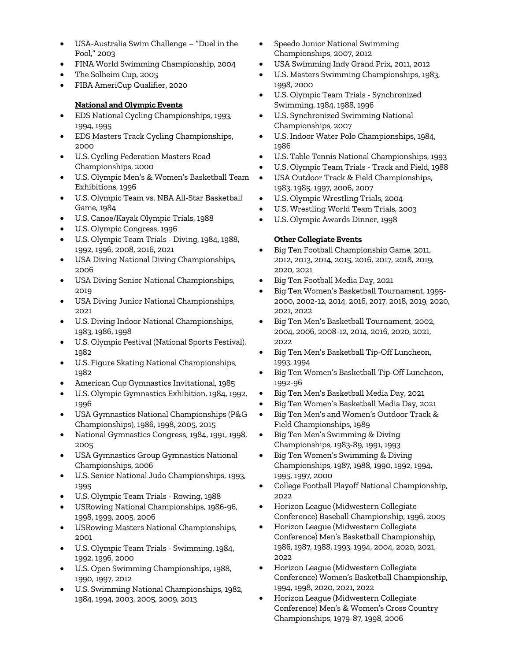- USA-Australia Swim Challenge "Duel in the Pool," 2003
- FINA World Swimming Championship, 2004
- The Solheim Cup, 2005
- FIBA AmeriCup Qualifier, 2020

# **National and Olympic Events**

- EDS National Cycling Championships, 1993, 1994, 1995
- EDS Masters Track Cycling Championships, 2000
- U.S. Cycling Federation Masters Road Championships, 2000
- U.S. Olympic Men's & Women's Basketball Team Exhibitions, 1996
- U.S. Olympic Team vs. NBA All-Star Basketball Game, 1984
- U.S. Canoe/Kayak Olympic Trials, 1988
- U.S. Olympic Congress, 1996
- U.S. Olympic Team Trials Diving, 1984, 1988, 1992, 1996, 2008, 2016, 2021
- USA Diving National Diving Championships, 2006
- USA Diving Senior National Championships, 2019
- USA Diving Junior National Championships, 2021
- U.S. Diving Indoor National Championships, 1983, 1986, 1998
- U.S. Olympic Festival (National Sports Festival), 1982
- U.S. Figure Skating National Championships, 1982
- American Cup Gymnastics Invitational, 1985
- U.S. Olympic Gymnastics Exhibition, 1984, 1992, 1996
- USA Gymnastics National Championships (P&G Championships), 1986, 1998, 2005, 2015
- National Gymnastics Congress, 1984, 1991, 1998, 2005
- USA Gymnastics Group Gymnastics National Championships, 2006
- U.S. Senior National Judo Championships, 1993, 1995
- U.S. Olympic Team Trials Rowing, 1988
- USRowing National Championships, 1986-96, 1998, 1999, 2005, 2006
- USRowing Masters National Championships, 2001
- U.S. Olympic Team Trials Swimming, 1984, 1992, 1996, 2000
- U.S. Open Swimming Championships, 1988, 1990, 1997, 2012
- U.S. Swimming National Championships, 1982, 1984, 1994, 2003, 2005, 2009, 2013
- Speedo Junior National Swimming Championships, 2007, 2012
- USA Swimming Indy Grand Prix, 2011, 2012
- U.S. Masters Swimming Championships, 1983, 1998, 2000
- U.S. Olympic Team Trials Synchronized Swimming, 1984, 1988, 1996
- U.S. Synchronized Swimming National Championships, 2007
- U.S. Indoor Water Polo Championships, 1984, 1986
- U.S. Table Tennis National Championships, 1993
- U.S. Olympic Team Trials Track and Field, 1988
- USA Outdoor Track & Field Championships, 1983, 1985, 1997, 2006, 2007
- U.S. Olympic Wrestling Trials, 2004
- U.S. Wrestling World Team Trials, 2003
- U.S. Olympic Awards Dinner, 1998

#### **Other Collegiate Events**

- Big Ten Football Championship Game, 2011, 2012, 2013, 2014, 2015, 2016, 2017, 2018, 2019, 2020, 2021
- Big Ten Football Media Day, 2021
- Big Ten Women's Basketball Tournament, 1995- 2000, 2002-12, 2014, 2016, 2017, 2018, 2019, 2020, 2021, 2022
- Big Ten Men's Basketball Tournament, 2002, 2004, 2006, 2008-12, 2014, 2016, 2020, 2021, 2022
- Big Ten Men's Basketball Tip-Off Luncheon, 1993, 1994
- Big Ten Women's Basketball Tip-Off Luncheon, 1992-96
- Big Ten Men's Basketball Media Day, 2021
- Big Ten Women's Basketball Media Day, 2021
- Big Ten Men's and Women's Outdoor Track & Field Championships, 1989
- Big Ten Men's Swimming & Diving Championships, 1983-89, 1991, 1993
- Big Ten Women's Swimming & Diving Championships, 1987, 1988, 1990, 1992, 1994, 1995, 1997, 2000
- College Football Playoff National Championship, 2022
- Horizon League (Midwestern Collegiate Conference) Baseball Championship, 1996, 2005
- Horizon League (Midwestern Collegiate Conference) Men's Basketball Championship, 1986, 1987, 1988, 1993, 1994, 2004, 2020, 2021, 2022
- Horizon League (Midwestern Collegiate Conference) Women's Basketball Championship, 1994, 1998, 2020, 2021, 2022
- Horizon League (Midwestern Collegiate Conference) Men's & Women's Cross Country Championships, 1979-87, 1998, 2006